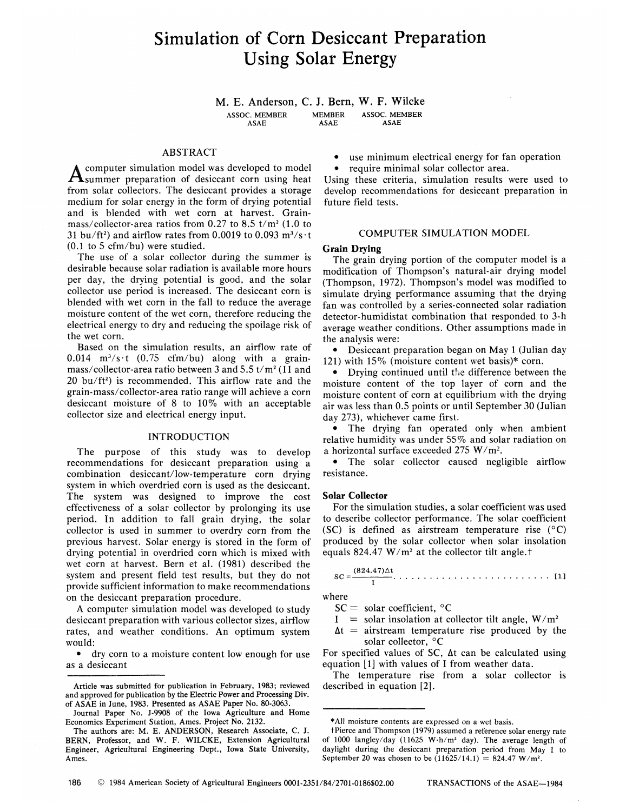# Simulation of Corn Desiccant Preparation Using Solar Energy

**M. E. Anderson, C. J. Bern, W. F. Wilcke**  ASSOC. MEMBER MEMBER ASSOC. MEMBER<br>ASAE ASAE ASAE ASAE ASAE ASAE ASAE

# ABSTRACT

**A** computer simulation model was developed to model<br>Asummer preparation of desiccant corn using heat computer simulation model was developed to model from solar collectors. The desiccant provides a storage medium for solar energy in the form of drying potential and is blended with wet corn at harvest. Grainmass/collector-area ratios from 0.27 to 8.5  $t/m^2$  (1.0 to 31 bu/ft<sup>2</sup>) and airflow rates from 0.0019 to 0.093  $m^3/s \cdot t$ (0.1 to 5 cfm/bu) were studied.

The use of a solar collector during the summer is desirable because solar radiation is available more hours per day, the drying potential is good, and the solar collector use period is increased. The desiccant corn is blended with wet corn in the fall to reduce the average moisture content of the wet corn, therefore reducing the electrical energy to dry and reducing the spoilage risk of the wet corn.

Based on the simulation results, an airflow rate of  $0.014 \text{ m}^3/\text{s}$  t (0.75 cfm/bu) along with a grainmass/collector-area ratio between 3 and 5.5 t/m<sup>2</sup> (11 and  $20$  bu/ft<sup>2</sup>) is recommended. This airflow rate and the grain-mass/collector-area ratio range will achieve a corn desiccant moisture of 8 to 10% with an acceptable collector size and electrical energy input.

# INTRODUCTION

The purpose of this study was to develop recommendations for desiccant preparation using a combination desiccant/low-temperature corn drying system in which overdried corn is used as the desiccant. The system was designed to improve the cost effectiveness of a solar collector by prolonging its use period. In addition to fall grain drying, the solar collector is used in summer to overdry corn from the previous harvest. Solar energy is stored in the form of drying potential in overdried corn which is mixed with wet corn at harvest. Bern et al. (1981) described the system and present field test results, but they do not provide sufficient information to make recommendations on the desiccant preparation procedure.

A computer simulation model was developed to study desiccant preparation with various collector sizes, airflow rates, and weather conditions. An optimum system would:

• dry corn to a moisture content low enough for use as a desiccant

use minimum electrical energy for fan operation require minimal solar collector area.

Using these criteria, simulation results were used to develop recommendations for desiccant preparation in future field tests.

## COMPUTER SIMULATION MODEL

## **Grain Drying**

The grain drying portion of the computer model is a modification of Thompson's natural-air drying model (Thompson, 1972). Thompson's model was modified to simulate drying performance assuming that the drying fan was controlled by a series-connected solar radiation detector-humidistat combination that responded to 3-h average weather conditions. Other assumptions made in the analysis were:

• Desiccant preparation began on May 1 (Julian day 121) with 15% (moisture content wet basis)\* corn.

• Drying continued until the difference between the moisture content of the top layer of corn and the moisture content of corn at equilibrium with the drying air was less than 0.5 points or until September 30 (Julian day 273), whichever came first.

• The drying fan operated only when ambient relative humidity was under 55% and solar radiation on a horizontal surface exceeded 275 W/m<sup>2</sup> .

• The solar collector caused negligible airflow resistance.

# **Solar Collector**

For the simulation studies, a solar coefficient was used to describe collector performance. The solar coefficient (SC) is defined as airstream temperature rise  $(^{\circ}C)$ produced by the solar collector when solar insolation equals  $824.47 \text{ W/m}^2$  at the collector tilt angle.<sup>†</sup>

#### $(824.47)\Delta t$ SC=— [1] I

where

 $SC = solar coefficient, °C$ 

- I = solar insolation at collector tilt angle,  $W/m^2$
- $\Delta t$  = airstream temperature rise produced by the solar collector, °C

For specified values of SC, At can be calculated using equation [1] with values of I from weather data.

The temperature rise from a solar collector is described in equation [2].

Article was submitted for publication in February, 1983; reviewed and approved for publication by the Electric Power and Processing Div. of ASAE in June, 1983. Presented as ASAE Paper No. 80-3063.

Journal Paper No. J-9908 of the Iowa Agriculture and Home Economics Experiment Station, Ames. Project No. 2132.

The authors are: M. E. ANDERSON, Research Associate, C. J. BERN, Professor, and W. F. WILCKE, Extension Agricultural Engineer, Agricultural Engineering Dept., Iowa State University, Ames.

<sup>\*</sup>A11 moisture contents are expressed on a wet basis.

tPierce and Thompson (1979) assumed a reference solar energy rate of 1000 langley/day (11625 W·h/m<sup>2</sup> day). The average length of daylight during the desiccant preparation period from May 1 to September 20 was chosen to be  $(11625/14.1) = 824.47 \text{ W/m}^2$ .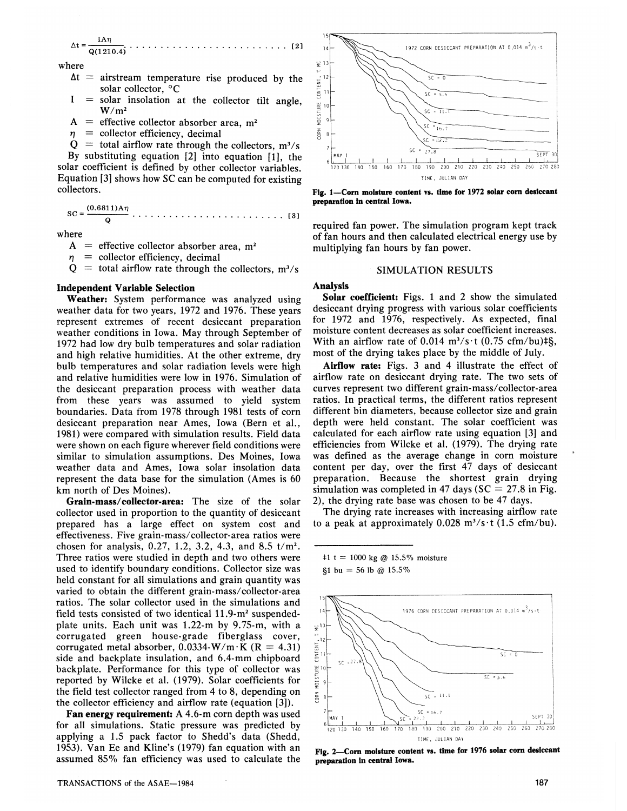At = - IA17 Q(1210.4) [ 2 ]

where

- $\Delta t$  = airstream temperature rise produced by the solar collector, °C
- $I = solar$  insolation at the collector tilt angle,  $W/m^2$
- $A =$  effective collector absorber area, m<sup>2</sup>
- $\eta$  = collector efficiency, decimal<br> $\Omega$  = total airflow rate through the

 $Q =$  total airflow rate through the collectors,  $m^3/s$ By substituting equation [2] into equation [1], the solar coefficient is defined by other collector variables. Equation [3] shows how SC can be computed for existing collectors.

 $SC = \frac{(0.6811)A\eta}{Q}$ . . . . . . . . . . . . . . . [3]

where

- $A =$  effective collector absorber area, m<sup>2</sup>
- $\eta$  = collector efficiency, decimal<br> $O$  = total airflow rate through th
- $Q =$  total airflow rate through the collectors,  $m^3/s$

# **Independent Variable Selection**

Weather: System performance was analyzed using weather data for two years, 1972 and 1976. These years represent extremes of recent desiccant preparation weather conditions in Iowa. May through September of 1972 had low dry bulb temperatures and solar radiation and high relative humidities. At the other extreme, dry bulb temperatures and solar radiation levels were high and relative humidities were low in 1976. Simulation of the desiccant preparation process with weather data from these years was assumed to yield system boundaries. Data from 1978 through 1981 tests of corn desiccant preparation near Ames, Iowa (Bern et al., 1981) were compared with simulation results. Field data were shown on each figure wherever field conditions were similar to simulation assumptions. Des Moines, Iowa weather data and Ames, Iowa solar insolation data represent the data base for the simulation (Ames is 60 km north of Des Moines).

Grain-mass/collector-area: The size of the solar collector used in proportion to the quantity of desiccant prepared has a large effect on system cost and effectiveness. Five grain-mass/collector-area ratios were chosen for analysis, 0.27, 1.2, 3.2, 4.3, and 8.5  $t/m^2$ . Three ratios were studied in depth and two others were used to identify boundary conditions. Collector size was held constant for all simulations and grain quantity was varied to obtain the different grain-mass/collector-area ratios. The solar collector used in the simulations and field tests consisted of two identical 11.9-m<sup>2</sup> suspendedplate units. Each unit was 1.22-m by 9.75-m, with a corrugated green house-grade fiberglass cover, corrugated metal absorber,  $0.0334-W/m \cdot K$  (R = 4.31) side and backplate insulation, and 6.4-mm chipboard backplate. Performance for this type of collector was reported by Wilcke et al. (1979). Solar coefficients for the field test collector ranged from 4 to 8, depending on the collector efficiency and airflow rate (equation [3]).

Fan energy requirement: A 4.6-m corn depth was used for all simulations. Static pressure was predicted by applying a 1.5 pack factor to Shedd's data (Shedd, 1953). Van Ee and Kline's (1979) fan equation with an assumed 85% fan efficiency was used to calculate the



**Fig. 1—Cora moisture content vs. time for 1972 solar corn desiccant preparation in central Iowa.** 

required fan power. The simulation program kept track of fan hours and then calculated electrical energy use by multiplying fan hours by fan power.

# SIMULATION RESULTS

### **Analysis**

Solar coefficient: Figs. 1 and 2 show the simulated desiccant drying progress with various solar coefficients for 1972 and 1976, respectively. As expected, final moisture content decreases as solar coefficient increases. With an airflow rate of 0.014  $m^3/s \cdot t$  (0.75 cfm/bu) $\frac{15}{5}$ , most of the drying takes place by the middle of July.

Airflow rate: Figs. 3 and 4 illustrate the effect of airflow rate on desiccant drying rate. The two sets of curves represent two different grain-mass/collector-area ratios. In practical terms, the different ratios represent different bin diameters, because collector size and grain depth were held constant. The solar coefficient was calculated for each airflow rate using equation [3] and efficiencies from Wilcke et al. (1979). The drying rate was defined as the average change in corn moisture content per day, over the first 47 days of desiccant preparation. Because the shortest grain drying simulation was completed in 47 days ( $SC = 27.8$  in Fig. 2), the drying rate base was chosen to be 47 days.

The drying rate increases with increasing airflow rate to a peak at approximately  $0.028 \text{ m}^3/\text{s} \cdot \text{t}$  (1.5 cfm/bu).

 $t = 1000 \text{ kg}$  @ 15.5% moisture

 $$1 bu = 56 lb @ 15.5\%$ 



**Fig.** *2—***Corn moisture content vs. time for 1976 solar corn desiccant preparation In centra! Iowa.**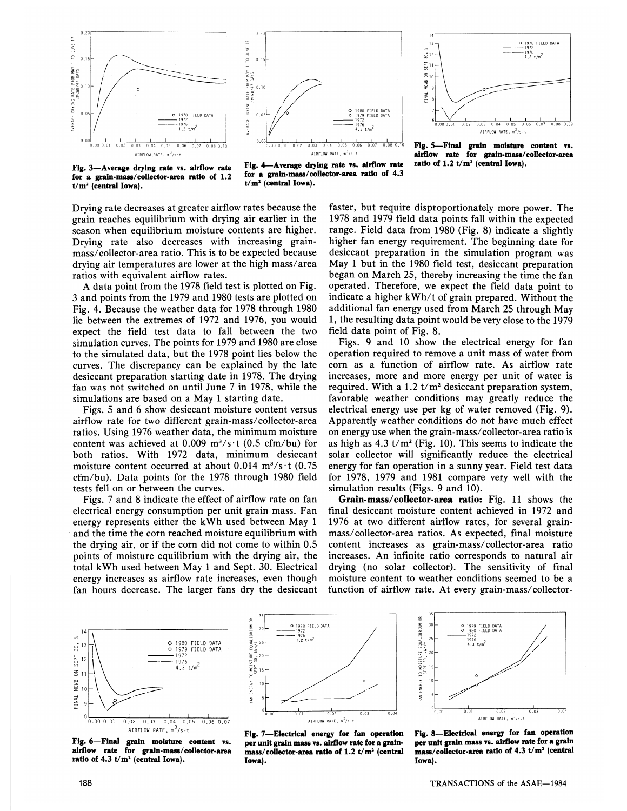



**Fig. 5—Final grain moisture content vs. airflow rate for grain-mass/collector-area**  ratio of  $1.2 t/m^2$  (central Iowa).

**for a grain-mass/coUector-area ratio of 1.2** *\*<\****<sup>a</sup> grain-mass/collector-area ratio of 4.3 t/m<sup>2</sup> (central Iowa).**

**Fig. 3-Average drying rate vs. airflow rate** Fig. 4-Average drying rate vs. airflow rate<br>
for a grain-mass/collector-area ratio of 1.2 for a grain-mass/collector-area ratio of 4.3  $t/m^2$  (central Iowa).

Drying rate decreases at greater airflow rates because the grain reaches equilibrium with drying air earlier in the season when equilibrium moisture contents are higher. Drying rate also decreases with increasing grainmass/collector-area ratio. This is to be expected because drying air temperatures are lower at the high mass/area ratios with equivalent airflow rates.

A data point from the 1978 field test is plotted on Fig. 3 and points from the 1979 and 1980 tests are plotted on Fig. 4. Because the weather data for 1978 through 1980 lie between the extremes of 1972 and 1976, you would expect the field test data to fall between the two simulation curves. The points for 1979 and 1980 are close to the simulated data, but the 1978 point lies below the curves. The discrepancy can be explained by the late desiccant preparation starting date in 1978. The drying fan was not switched on until June 7 in 1978, while the simulations are based on a May 1 starting date.

Figs. 5 and 6 show desiccant moisture content versus airflow rate for two different grain-mass/collector-area ratios. Using 1976 weather data, the minimum moisture content was achieved at 0.009  $m^3/s \cdot t$  (0.5 cfm/bu) for both ratios. With 1972 data, minimum desiccant moisture content occurred at about  $0.014 \text{ m}^3/\text{s} \cdot \text{t}$  (0.75) cfm/bu). Data points for the 1978 through 1980 field tests fell on or between the curves.

Figs. 7 and 8 indicate the effect of airflow rate on fan electrical energy consumption per unit grain mass. Fan energy represents either the kWh used between May 1 and the time the corn reached moisture equilibrium with the drying air, or if the corn did not come to within 0.5 points of moisture equilibrium with the drying air, the total kWh used between May 1 and Sept. 30. Electrical energy increases as airflow rate increases, even though fan hours decrease. The larger fans dry the desiccant faster, but require disproportionately more power. The 1978 and 1979 field data points fall within the expected range. Field data from 1980 (Fig. 8) indicate a slightly higher fan energy requirement. The beginning date for desiccant preparation in the simulation program was May 1 but in the 1980 field test, desiccant preparation began on March 25, thereby increasing the time the fan operated. Therefore, we expect the field data point to indicate a higher kWh/t of grain prepared. Without the additional fan energy used from March 25 through May 1, the resulting data point would be very close to the 1979 field data point of Fig. 8.

Figs. 9 and 10 show the electrical energy for fan operation required to remove a unit mass of water from corn as a function of airflow rate. As airflow rate increases, more and more energy per unit of water is required. With a 1.2  $t/m^2$  desiccant preparation system, favorable weather conditions may greatly reduce the electrical energy use per kg of water removed (Fig. 9). Apparently weather conditions do not have much effect on energy use when the grain-mass/collector-area ratio is as high as 4.3  $t/m^2$  (Fig. 10). This seems to indicate the solar collector will significantly reduce the electrical energy for fan operation in a sunny year. Field test data for 1978, 1979 and 1981 compare very well with the simulation results (Figs. 9 and 10).

**Grain-mass/collector-area ratio:** Fig. 11 shows the final desiccant moisture content achieved in 1972 and 1976 at two different airflow rates, for several grainmass/collector-area ratios. As expected, final moisture content increases as grain-mass/collector-area ratio increases. An infinite ratio corresponds to natural air drying (no solar collector). The sensitivity of final moisture content to weather conditions seemed to be a function of airflow rate. At every grain-mass/collector-



**Fig. 6—Final grain moisture content vs. airflow rate for grain-mass/collector-area ratio of 4.3 t/m<sup>2</sup> (central Iowa).** 



**Fig. 7—Electrical energy for fan operation per unit grain mass vs. airflow rate for a grainmass/collector-area ratio of 1.2 t/m<sup>2</sup> (central Iowa).** 



**Fig. 8—Electrical energy for fan operation per unit grain mass vs. airflow rate for a grain mass/collector-area ratio of 4.3 t/m<sup>2</sup> (central Iowa).**